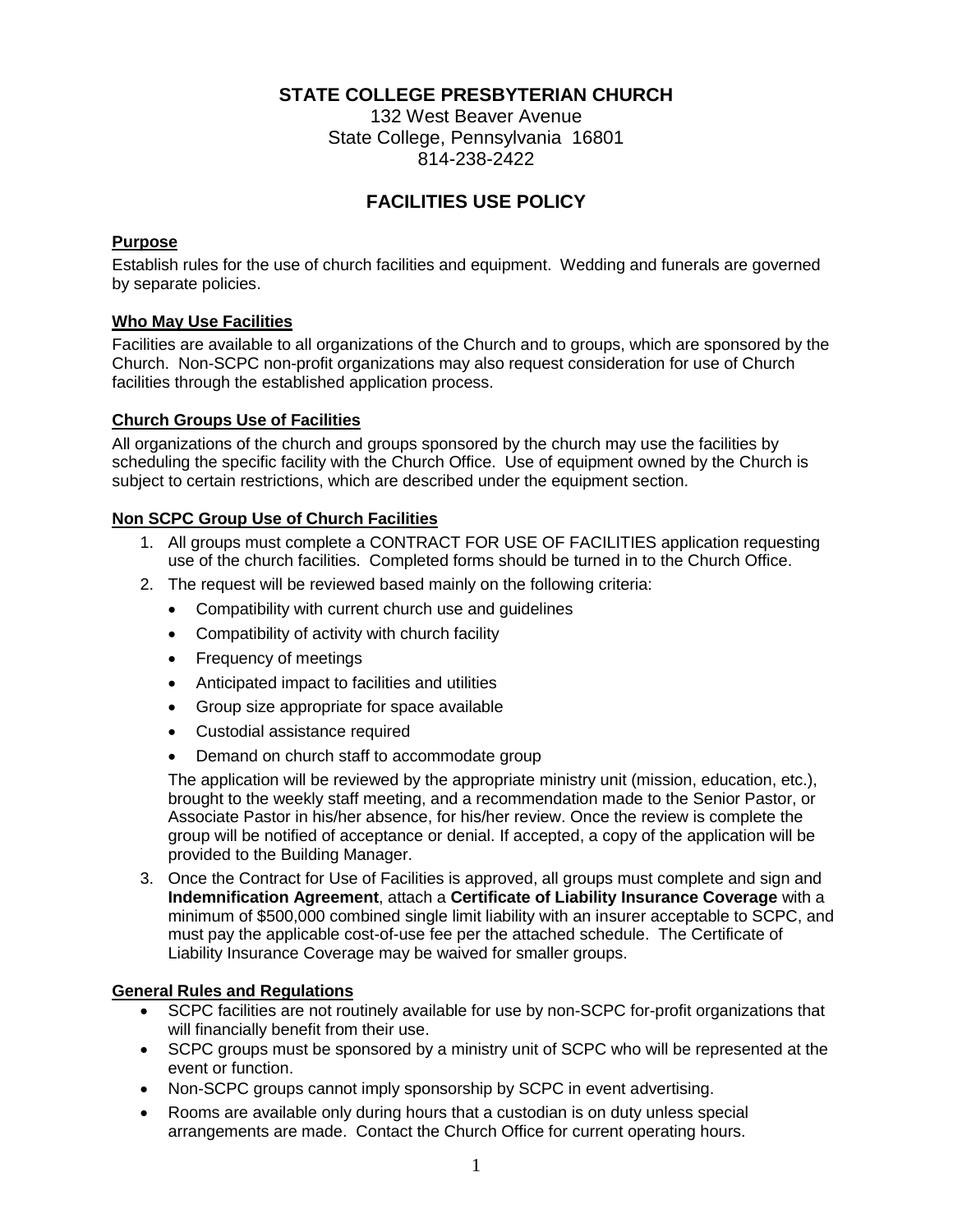## **STATE COLLEGE PRESBYTERIAN CHURCH**

132 West Beaver Avenue State College, Pennsylvania 16801 814-238-2422

# **FACILITIES USE POLICY**

### **Purpose**

Establish rules for the use of church facilities and equipment. Wedding and funerals are governed by separate policies.

### **Who May Use Facilities**

Facilities are available to all organizations of the Church and to groups, which are sponsored by the Church. Non-SCPC non-profit organizations may also request consideration for use of Church facilities through the established application process.

#### **Church Groups Use of Facilities**

All organizations of the church and groups sponsored by the church may use the facilities by scheduling the specific facility with the Church Office. Use of equipment owned by the Church is subject to certain restrictions, which are described under the equipment section.

### **Non SCPC Group Use of Church Facilities**

- 1. All groups must complete a CONTRACT FOR USE OF FACILITIES application requesting use of the church facilities. Completed forms should be turned in to the Church Office.
- 2. The request will be reviewed based mainly on the following criteria:
	- Compatibility with current church use and guidelines
	- Compatibility of activity with church facility
	- Frequency of meetings
	- Anticipated impact to facilities and utilities
	- Group size appropriate for space available
	- Custodial assistance required
	- Demand on church staff to accommodate group

The application will be reviewed by the appropriate ministry unit (mission, education, etc.), brought to the weekly staff meeting, and a recommendation made to the Senior Pastor, or Associate Pastor in his/her absence, for his/her review. Once the review is complete the group will be notified of acceptance or denial. If accepted, a copy of the application will be provided to the Building Manager.

3. Once the Contract for Use of Facilities is approved, all groups must complete and sign and **Indemnification Agreement**, attach a **Certificate of Liability Insurance Coverage** with a minimum of \$500,000 combined single limit liability with an insurer acceptable to SCPC, and must pay the applicable cost-of-use fee per the attached schedule. The Certificate of Liability Insurance Coverage may be waived for smaller groups.

#### **General Rules and Regulations**

- SCPC facilities are not routinely available for use by non-SCPC for-profit organizations that will financially benefit from their use.
- SCPC groups must be sponsored by a ministry unit of SCPC who will be represented at the event or function.
- Non-SCPC groups cannot imply sponsorship by SCPC in event advertising.
- Rooms are available only during hours that a custodian is on duty unless special arrangements are made. Contact the Church Office for current operating hours.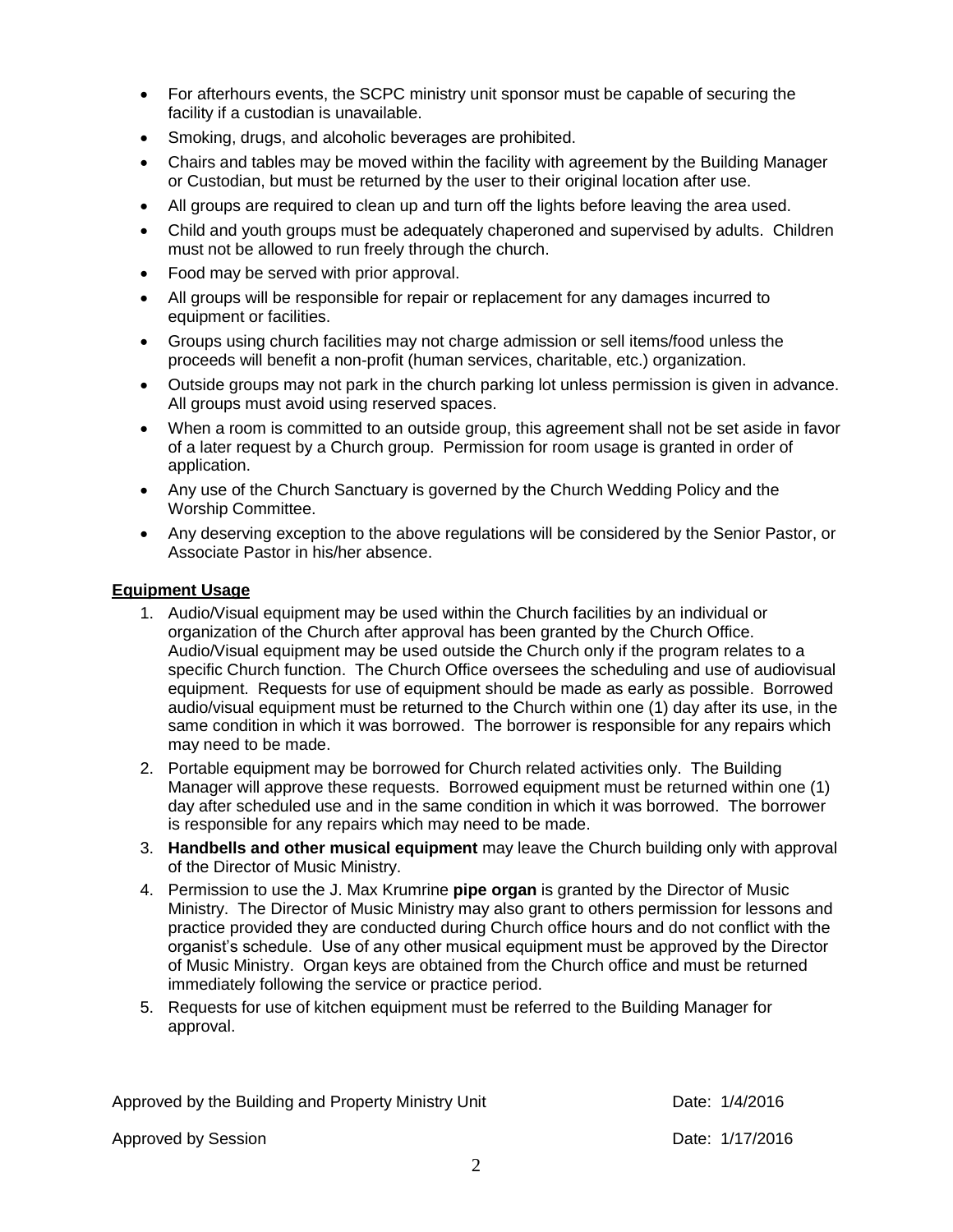- For afterhours events, the SCPC ministry unit sponsor must be capable of securing the facility if a custodian is unavailable.
- Smoking, drugs, and alcoholic beverages are prohibited.
- Chairs and tables may be moved within the facility with agreement by the Building Manager or Custodian, but must be returned by the user to their original location after use.
- All groups are required to clean up and turn off the lights before leaving the area used.
- Child and youth groups must be adequately chaperoned and supervised by adults. Children must not be allowed to run freely through the church.
- Food may be served with prior approval.
- All groups will be responsible for repair or replacement for any damages incurred to equipment or facilities.
- Groups using church facilities may not charge admission or sell items/food unless the proceeds will benefit a non-profit (human services, charitable, etc.) organization.
- Outside groups may not park in the church parking lot unless permission is given in advance. All groups must avoid using reserved spaces.
- When a room is committed to an outside group, this agreement shall not be set aside in favor of a later request by a Church group. Permission for room usage is granted in order of application.
- Any use of the Church Sanctuary is governed by the Church Wedding Policy and the Worship Committee.
- Any deserving exception to the above regulations will be considered by the Senior Pastor, or Associate Pastor in his/her absence.

### **Equipment Usage**

- 1. Audio/Visual equipment may be used within the Church facilities by an individual or organization of the Church after approval has been granted by the Church Office. Audio/Visual equipment may be used outside the Church only if the program relates to a specific Church function. The Church Office oversees the scheduling and use of audiovisual equipment. Requests for use of equipment should be made as early as possible. Borrowed audio/visual equipment must be returned to the Church within one (1) day after its use, in the same condition in which it was borrowed. The borrower is responsible for any repairs which may need to be made.
- 2. Portable equipment may be borrowed for Church related activities only. The Building Manager will approve these requests. Borrowed equipment must be returned within one (1) day after scheduled use and in the same condition in which it was borrowed. The borrower is responsible for any repairs which may need to be made.
- 3. **Handbells and other musical equipment** may leave the Church building only with approval of the Director of Music Ministry.
- 4. Permission to use the J. Max Krumrine **pipe organ** is granted by the Director of Music Ministry. The Director of Music Ministry may also grant to others permission for lessons and practice provided they are conducted during Church office hours and do not conflict with the organist's schedule. Use of any other musical equipment must be approved by the Director of Music Ministry. Organ keys are obtained from the Church office and must be returned immediately following the service or practice period.
- 5. Requests for use of kitchen equipment must be referred to the Building Manager for approval.

Approved by the Building and Property Ministry Unit **Date: 1/4/2016** 

Approved by Session **Date: 1/17/2016**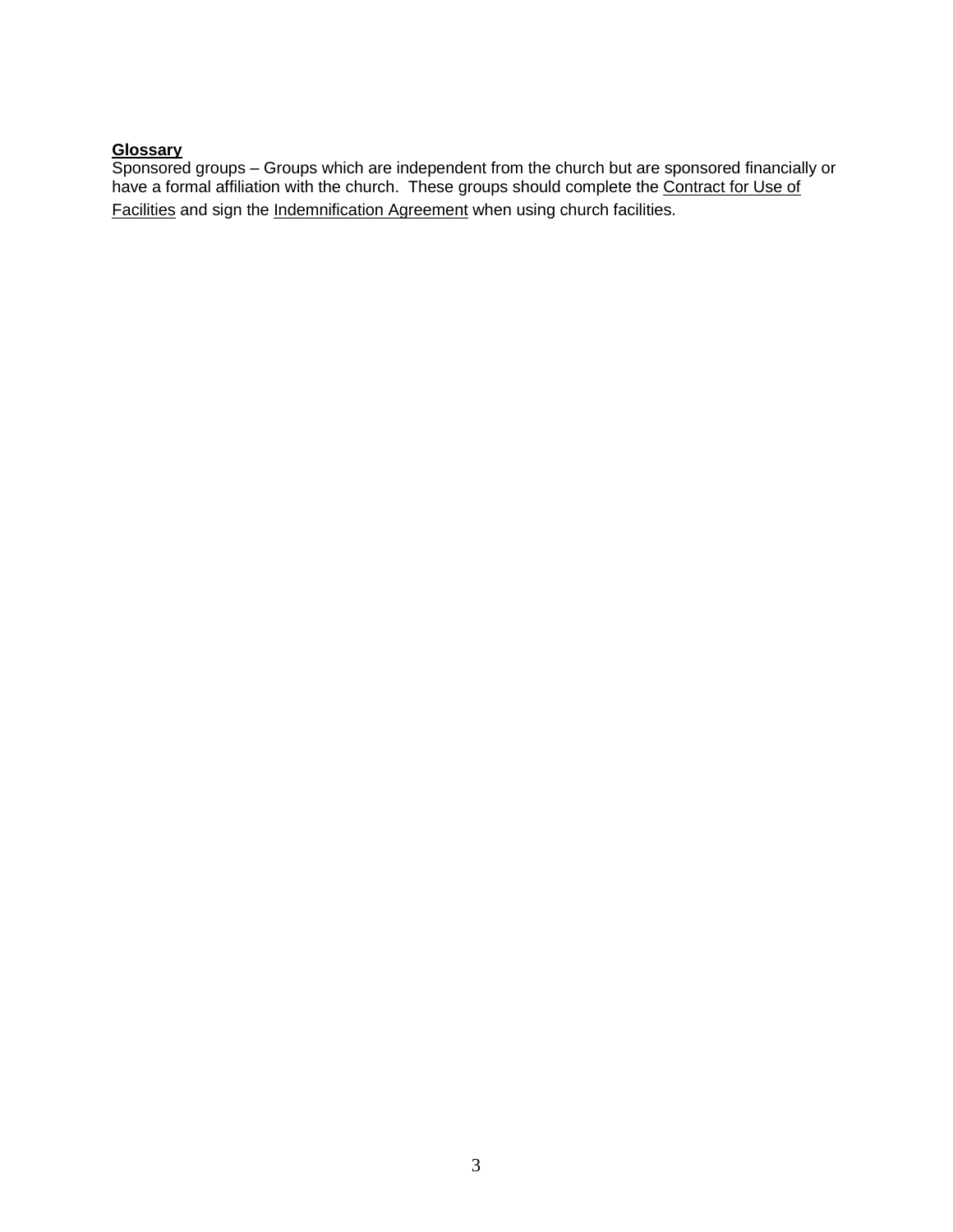## **Glossary**

Sponsored groups – Groups which are independent from the church but are sponsored financially or have a formal affiliation with the church. These groups should complete the Contract for Use of Facilities and sign the Indemnification Agreement when using church facilities.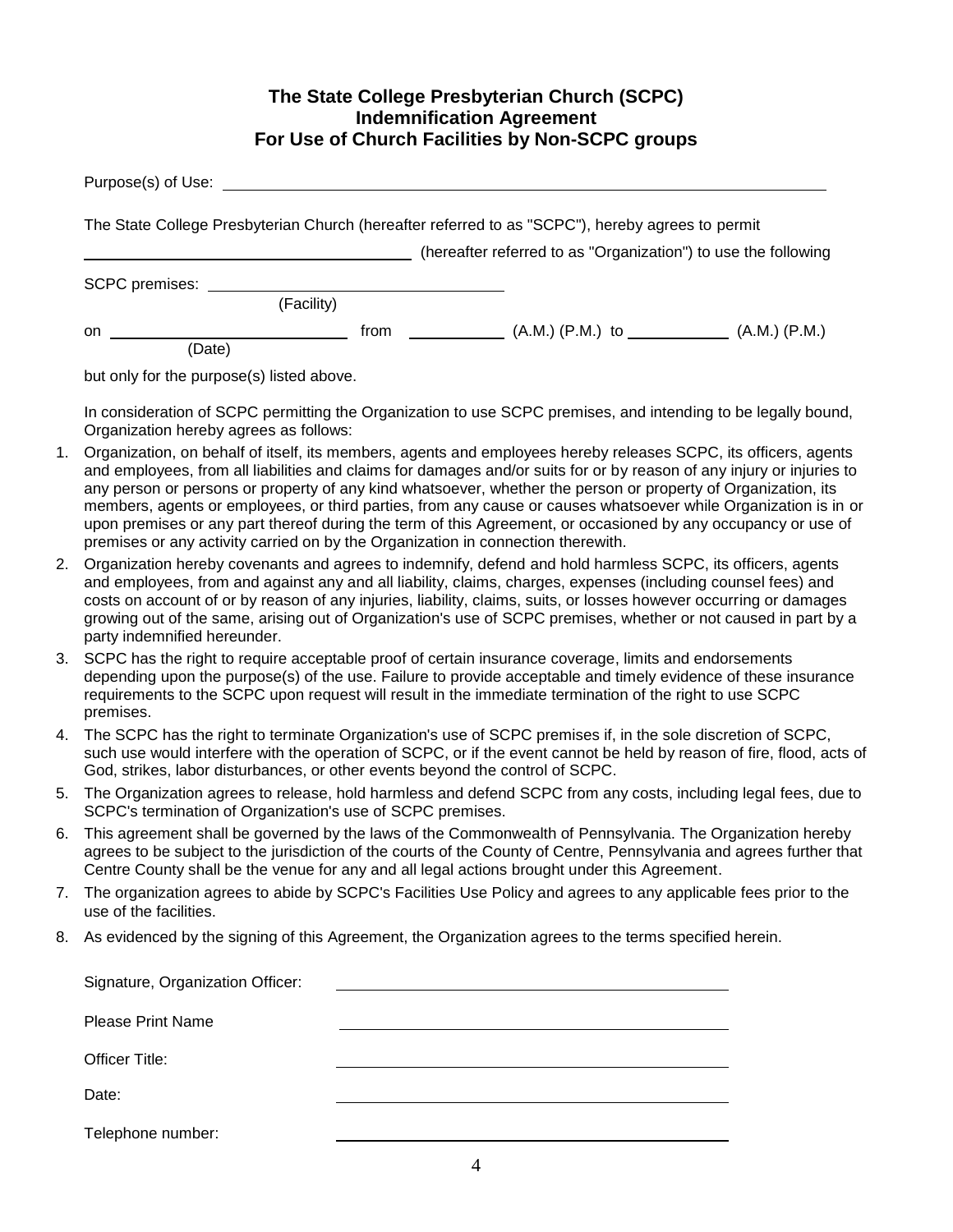## **The State College Presbyterian Church (SCPC) Indemnification Agreement For Use of Church Facilities by Non-SCPC groups**

|                                                                                                                                                                    | Purpose(s) of Use:                                                                                                                                                                                                                                                                                                                                                                                                                                                                                                                                                                                                                                                                |  |  |  |  |  |  |
|--------------------------------------------------------------------------------------------------------------------------------------------------------------------|-----------------------------------------------------------------------------------------------------------------------------------------------------------------------------------------------------------------------------------------------------------------------------------------------------------------------------------------------------------------------------------------------------------------------------------------------------------------------------------------------------------------------------------------------------------------------------------------------------------------------------------------------------------------------------------|--|--|--|--|--|--|
| The State College Presbyterian Church (hereafter referred to as "SCPC"), hereby agrees to permit<br>(hereafter referred to as "Organization") to use the following |                                                                                                                                                                                                                                                                                                                                                                                                                                                                                                                                                                                                                                                                                   |  |  |  |  |  |  |
|                                                                                                                                                                    |                                                                                                                                                                                                                                                                                                                                                                                                                                                                                                                                                                                                                                                                                   |  |  |  |  |  |  |
| (Facility)                                                                                                                                                         |                                                                                                                                                                                                                                                                                                                                                                                                                                                                                                                                                                                                                                                                                   |  |  |  |  |  |  |
|                                                                                                                                                                    | on<br>(Date)                                                                                                                                                                                                                                                                                                                                                                                                                                                                                                                                                                                                                                                                      |  |  |  |  |  |  |
|                                                                                                                                                                    | but only for the purpose(s) listed above.                                                                                                                                                                                                                                                                                                                                                                                                                                                                                                                                                                                                                                         |  |  |  |  |  |  |
|                                                                                                                                                                    | In consideration of SCPC permitting the Organization to use SCPC premises, and intending to be legally bound,<br>Organization hereby agrees as follows:                                                                                                                                                                                                                                                                                                                                                                                                                                                                                                                           |  |  |  |  |  |  |
| 1.                                                                                                                                                                 | Organization, on behalf of itself, its members, agents and employees hereby releases SCPC, its officers, agents<br>and employees, from all liabilities and claims for damages and/or suits for or by reason of any injury or injuries to<br>any person or persons or property of any kind whatsoever, whether the person or property of Organization, its<br>members, agents or employees, or third parties, from any cause or causes whatsoever while Organization is in or<br>upon premises or any part thereof during the term of this Agreement, or occasioned by any occupancy or use of<br>premises or any activity carried on by the Organization in connection therewith. |  |  |  |  |  |  |
| 2.                                                                                                                                                                 | Organization hereby covenants and agrees to indemnify, defend and hold harmless SCPC, its officers, agents<br>and employees, from and against any and all liability, claims, charges, expenses (including counsel fees) and<br>costs on account of or by reason of any injuries, liability, claims, suits, or losses however occurring or damages<br>growing out of the same, arising out of Organization's use of SCPC premises, whether or not caused in part by a<br>party indemnified hereunder.                                                                                                                                                                              |  |  |  |  |  |  |
| 3.                                                                                                                                                                 | SCPC has the right to require acceptable proof of certain insurance coverage, limits and endorsements<br>depending upon the purpose(s) of the use. Failure to provide acceptable and timely evidence of these insurance<br>requirements to the SCPC upon request will result in the immediate termination of the right to use SCPC<br>premises.                                                                                                                                                                                                                                                                                                                                   |  |  |  |  |  |  |
| 4.                                                                                                                                                                 | The SCPC has the right to terminate Organization's use of SCPC premises if, in the sole discretion of SCPC,<br>such use would interfere with the operation of SCPC, or if the event cannot be held by reason of fire, flood, acts of<br>God, strikes, labor disturbances, or other events beyond the control of SCPC.                                                                                                                                                                                                                                                                                                                                                             |  |  |  |  |  |  |
| 5.                                                                                                                                                                 | The Organization agrees to release, hold harmless and defend SCPC from any costs, including legal fees, due to<br>SCPC's termination of Organization's use of SCPC premises.                                                                                                                                                                                                                                                                                                                                                                                                                                                                                                      |  |  |  |  |  |  |
| 6.                                                                                                                                                                 | This agreement shall be governed by the laws of the Commonwealth of Pennsylvania. The Organization hereby<br>agrees to be subject to the iurisdiction of the courts of the County of Contre. Bennsylvania and agrees further that                                                                                                                                                                                                                                                                                                                                                                                                                                                 |  |  |  |  |  |  |

- agrees to be subject to the jurisdiction of the courts of the County of Centre, Pennsylvania and agrees further that Centre County shall be the venue for any and all legal actions brought under this Agreement.
- 7. The organization agrees to abide by SCPC's Facilities Use Policy and agrees to any applicable fees prior to the use of the facilities.
- 8. As evidenced by the signing of this Agreement, the Organization agrees to the terms specified herein.

| Signature, Organization Officer: |  |
|----------------------------------|--|
| <b>Please Print Name</b>         |  |
| Officer Title:                   |  |
| Date:                            |  |
| Telephone number:                |  |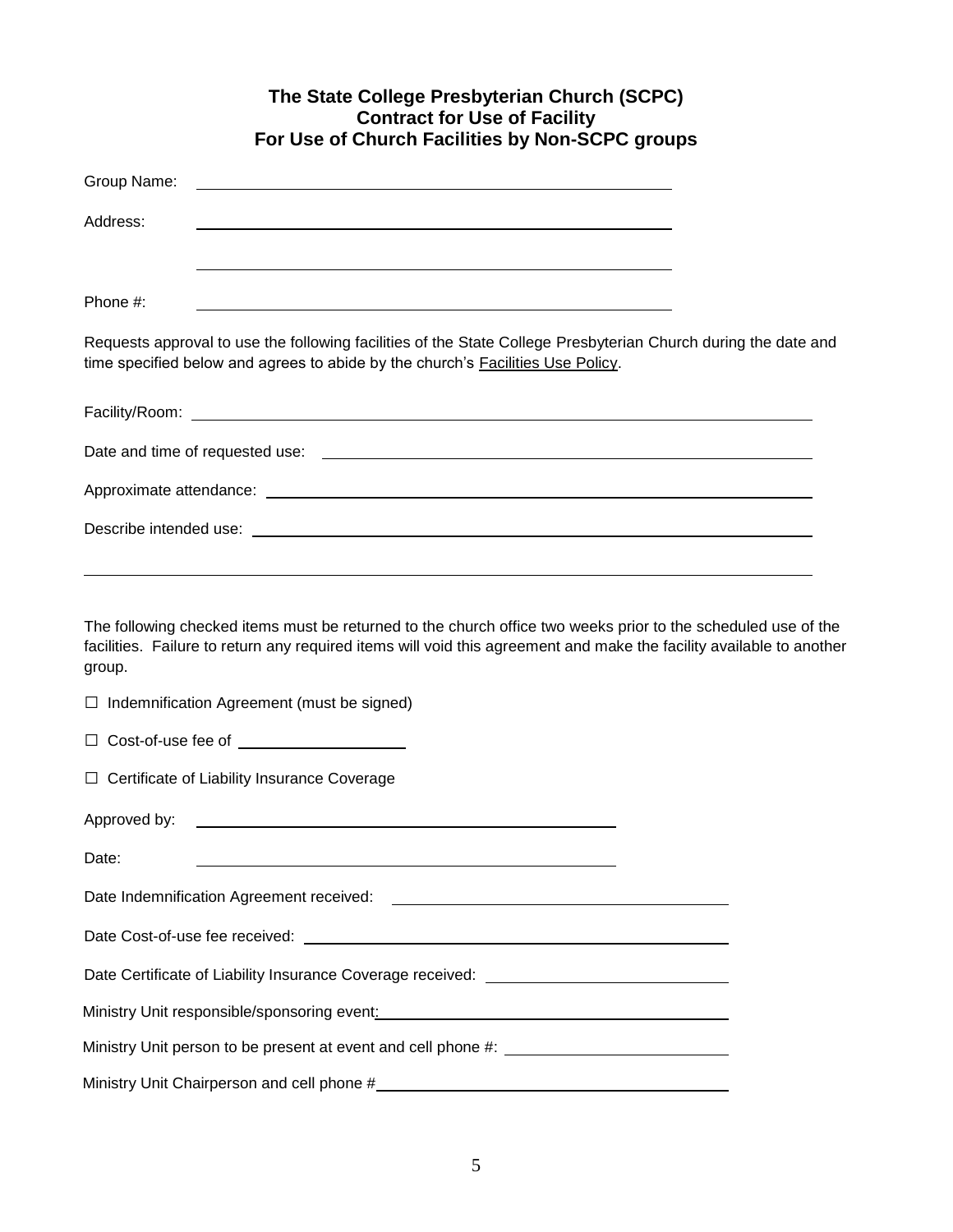|              | The State College Presbyterian Church (SCPC)<br><b>Contract for Use of Facility</b><br>For Use of Church Facilities by Non-SCPC groups                                                                                                |  |
|--------------|---------------------------------------------------------------------------------------------------------------------------------------------------------------------------------------------------------------------------------------|--|
| Group Name:  |                                                                                                                                                                                                                                       |  |
| Address:     |                                                                                                                                                                                                                                       |  |
| Phone #:     |                                                                                                                                                                                                                                       |  |
|              | Requests approval to use the following facilities of the State College Presbyterian Church during the date and<br>time specified below and agrees to abide by the church's Facilities Use Policy.                                     |  |
|              |                                                                                                                                                                                                                                       |  |
|              |                                                                                                                                                                                                                                       |  |
|              |                                                                                                                                                                                                                                       |  |
|              |                                                                                                                                                                                                                                       |  |
| group.       | The following checked items must be returned to the church office two weeks prior to the scheduled use of the<br>facilities. Failure to return any required items will void this agreement and make the facility available to another |  |
|              | $\Box$ Indemnification Agreement (must be signed)                                                                                                                                                                                     |  |
|              | $\Box$ Cost-of-use fee of $\Box$                                                                                                                                                                                                      |  |
|              | $\Box$ Certificate of Liability Insurance Coverage                                                                                                                                                                                    |  |
| Approved by: | <u> 1980 - John Stone, amerikansk politiker (</u>                                                                                                                                                                                     |  |
| Date:        |                                                                                                                                                                                                                                       |  |
|              |                                                                                                                                                                                                                                       |  |
|              |                                                                                                                                                                                                                                       |  |
|              | Date Certificate of Liability Insurance Coverage received: ______________________                                                                                                                                                     |  |
|              |                                                                                                                                                                                                                                       |  |
|              |                                                                                                                                                                                                                                       |  |
|              |                                                                                                                                                                                                                                       |  |